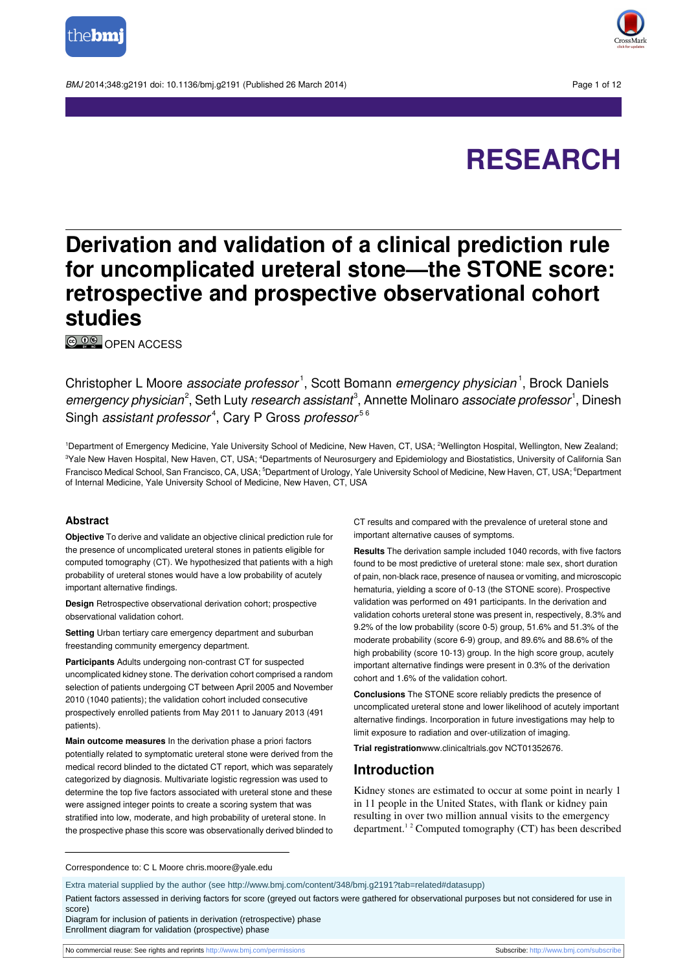

BMJ 2014:348:q2191 doi: 10.1136/bmi.q2191 (Published 26 March 2014) Page 1 of 12



# **RESEARCH**

## **Derivation and validation of a clinical prediction rule for uncomplicated ureteral stone—the STONE score: retrospective and prospective observational cohort studies**

© <sup>0</sup><sup>®</sup> OPEN [ACCESS](http://creativecommons.org/licenses/by-nc/3.0/)

Christopher L Moore *associate professor*<sup>1</sup>, Scott Bomann *emergency physician*<sup>1</sup>, Brock Daniels emergency physician<sup>2</sup>, Seth Luty research assistant<sup>3</sup>, Annette Molinaro associate professor<sup>1</sup>, Dinesh Singh *assistant professor<sup>4</sup>,* Cary P Gross *professor<sup>56</sup>* 

1Department of Emergency Medicine, Yale University School of Medicine, New Haven, CT, USA; <sup>2</sup>Wellington Hospital, Wellington, New Zealand; <sup>3</sup>Yale New Haven Hospital, New Haven, CT, USA; <sup>4</sup>Departments of Neurosurgery and Epidemiology and Biostatistics, University of California San Francisco Medical School, San Francisco, CA, USA; <sup>5</sup>Department of Urology, Yale University School of Medicine, New Haven, CT, USA; <sup>6</sup>Department of Internal Medicine, Yale University School of Medicine, New Haven, CT, USA

#### **Abstract**

**Objective** To derive and validate an objective clinical prediction rule for the presence of uncomplicated ureteral stones in patients eligible for computed tomography (CT). We hypothesized that patients with a high probability of ureteral stones would have a low probability of acutely important alternative findings.

**Design** Retrospective observational derivation cohort: prospective observational validation cohort.

**Setting** Urban tertiary care emergency department and suburban freestanding community emergency department.

**Participants** Adults undergoing non-contrast CT for suspected uncomplicated kidney stone. The derivation cohort comprised a random selection of patients undergoing CT between April 2005 and November 2010 (1040 patients); the validation cohort included consecutive prospectively enrolled patients from May 2011 to January 2013 (491 patients).

**Main outcome measures** In the derivation phase a priori factors potentially related to symptomatic ureteral stone were derived from the medical record blinded to the dictated CT report, which was separately categorized by diagnosis. Multivariate logistic regression was used to determine the top five factors associated with ureteral stone and these were assigned integer points to create a scoring system that was stratified into low, moderate, and high probability of ureteral stone. In the prospective phase this score was observationally derived blinded to CT results and compared with the prevalence of ureteral stone and important alternative causes of symptoms.

**Results** The derivation sample included 1040 records, with five factors found to be most predictive of ureteral stone: male sex, short duration of pain, non-black race, presence of nausea or vomiting, and microscopic hematuria, yielding a score of 0-13 (the STONE score). Prospective validation was performed on 491 participants. In the derivation and validation cohorts ureteral stone was present in, respectively, 8.3% and 9.2% of the low probability (score 0-5) group, 51.6% and 51.3% of the moderate probability (score 6-9) group, and 89.6% and 88.6% of the high probability (score 10-13) group. In the high score group, acutely important alternative findings were present in 0.3% of the derivation cohort and 1.6% of the validation cohort.

**Conclusions** The STONE score reliably predicts the presence of uncomplicated ureteral stone and lower likelihood of acutely important alternative findings. Incorporation in future investigations may help to limit exposure to radiation and over-utilization of imaging.

**Trial registration**[www.clinicaltrials.gov](http://www.clinicaltrials.gov/) NCT01352676.

#### **Introduction**

Kidney stones are estimated to occur at some point in nearly 1 in 11 people in the United States, with flank or kidney pain resulting in over two million annual visits to the emergency department.<sup>1</sup> <sup>2</sup> Computed tomography (CT) has been described

Correspondence to: C L Moore chris.moore@yale.edu

Extra material supplied by the author (see [http://www.bmj.com/content/348/bmj.g2191?tab=related#datasupp\)](http://www.bmj.com/content/348/bmj.g2191?tab=related#datasupp)

Patient factors assessed in deriving factors for score (greyed out factors were gathered for observational purposes but not considered for use in score)

Diagram for inclusion of patients in derivation (retrospective) phase Enrollment diagram for validation (prospective) phase

No commercial reuse: See rights and reprints <http://www.bmj.com/permissions> Subscribe: <http://www.bmj.com/subscribe>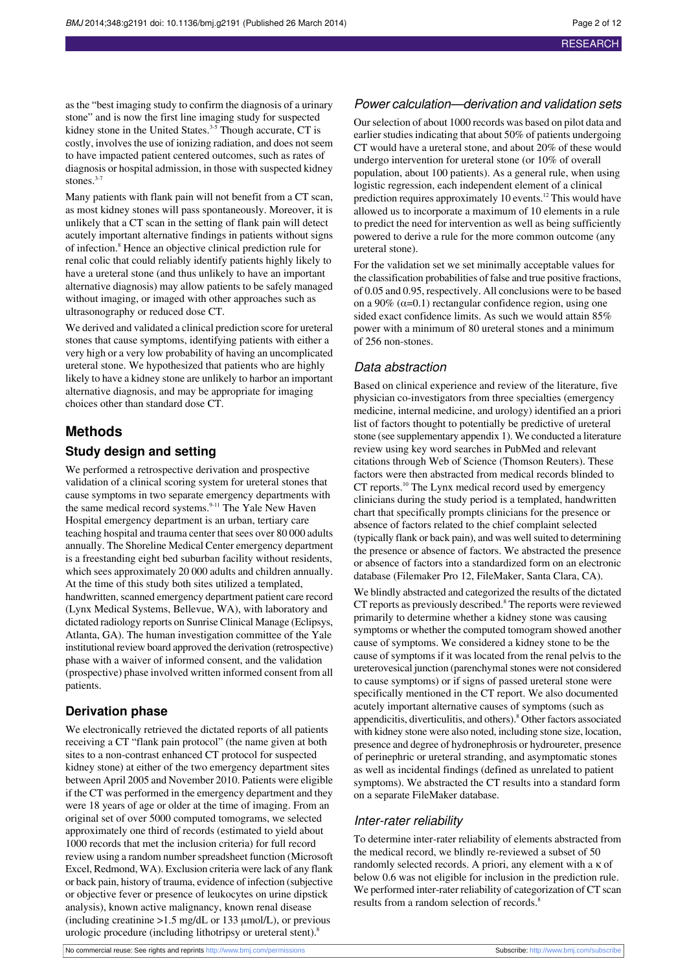as the "best imaging study to confirm the diagnosis of a urinary stone" and is now the first line imaging study for suspected kidney stone in the United States.<sup>3-5</sup> Though accurate, CT is costly, involves the use of ionizing radiation, and does not seem to have impacted patient centered outcomes, such as rates of diagnosis or hospital admission, in those with suspected kidney stones. $3-7$ 

Many patients with flank pain will not benefit from a CT scan, as most kidney stones will pass spontaneously. Moreover, it is unlikely that a CT scan in the setting of flank pain will detect acutely important alternative findings in patients without signs of infection.<sup>8</sup> Hence an objective clinical prediction rule for renal colic that could reliably identify patients highly likely to have a ureteral stone (and thus unlikely to have an important alternative diagnosis) may allow patients to be safely managed without imaging, or imaged with other approaches such as ultrasonography or reduced dose CT.

We derived and validated a clinical prediction score for ureteral stones that cause symptoms, identifying patients with either a very high or a very low probability of having an uncomplicated ureteral stone. We hypothesized that patients who are highly likely to have a kidney stone are unlikely to harbor an important alternative diagnosis, and may be appropriate for imaging choices other than standard dose CT.

## **Methods**

## **Study design and setting**

We performed a retrospective derivation and prospective validation of a clinical scoring system for ureteral stones that cause symptoms in two separate emergency departments with the same medical record systems.<sup>9-11</sup> The Yale New Haven Hospital emergency department is an urban, tertiary care teaching hospital and trauma center that sees over 80 000 adults annually. The Shoreline Medical Center emergency department is a freestanding eight bed suburban facility without residents, which sees approximately 20 000 adults and children annually. At the time of this study both sites utilized a templated, handwritten, scanned emergency department patient care record (Lynx Medical Systems, Bellevue, WA), with laboratory and dictated radiology reports on Sunrise Clinical Manage (Eclipsys, Atlanta, GA). The human investigation committee of the Yale institutional review board approved the derivation (retrospective) phase with a waiver of informed consent, and the validation (prospective) phase involved written informed consent from all patients.

#### **Derivation phase**

We electronically retrieved the dictated reports of all patients receiving a CT "flank pain protocol" (the name given at both sites to a non-contrast enhanced CT protocol for suspected kidney stone) at either of the two emergency department sites between April 2005 and November 2010. Patients were eligible if the CT was performed in the emergency department and they were 18 years of age or older at the time of imaging. From an original set of over 5000 computed tomograms, we selected approximately one third of records (estimated to yield about 1000 records that met the inclusion criteria) for full record review using a random number spreadsheet function (Microsoft Excel, Redmond, WA). Exclusion criteria were lack of any flank or back pain, history of trauma, evidence of infection (subjective or objective fever or presence of leukocytes on urine dipstick analysis), known active malignancy, known renal disease (including creatinine >1.5 mg/dL or 133 μmol/L), or previous urologic procedure (including lithotripsy or ureteral stent).<sup>8</sup>

#### Power calculation—derivation and validation sets

Ourselection of about 1000 records was based on pilot data and earlier studies indicating that about  $50\%$  of patients undergoing CT would have a ureteral stone, and about 20% of these would undergo intervention for ureteral stone (or 10% of overall population, about 100 patients). As a general rule, when using logistic regression, each independent element of a clinical prediction requires approximately 10 events.<sup>12</sup> This would have allowed us to incorporate a maximum of 10 elements in a rule to predict the need for intervention as well as being sufficiently powered to derive a rule for the more common outcome (any ureteral stone).

For the validation set we set minimally acceptable values for the classification probabilities of false and true positive fractions, of 0.05 and 0.95, respectively. All conclusions were to be based on a 90%  $(\alpha=0.1)$  rectangular confidence region, using one sided exact confidence limits. As such we would attain 85% power with a minimum of 80 ureteral stones and a minimum of 256 non-stones.

#### Data abstraction

Based on clinical experience and review of the literature, five physician co-investigators from three specialties (emergency medicine, internal medicine, and urology) identified an a priori list of factors thought to potentially be predictive of ureteral stone (see supplementary appendix 1). We conducted a literature review using key word searches in PubMed and relevant citations through Web of Science (Thomson Reuters). These factors were then abstracted from medical records blinded to CT reports.<sup>10</sup> The Lynx medical record used by emergency clinicians during the study period is a templated, handwritten chart that specifically prompts clinicians for the presence or absence of factors related to the chief complaint selected (typically flank or back pain), and was wellsuited to determining the presence or absence of factors. We abstracted the presence or absence of factors into a standardized form on an electronic database (Filemaker Pro 12, FileMaker, Santa Clara, CA).

We blindly abstracted and categorized the results of the dictated CT reports as previously described.<sup>8</sup> The reports were reviewed primarily to determine whether a kidney stone was causing symptoms or whether the computed tomogram showed another cause of symptoms. We considered a kidney stone to be the cause of symptoms if it was located from the renal pelvis to the ureterovesical junction (parenchymal stones were not considered to cause symptoms) or if signs of passed ureteral stone were specifically mentioned in the CT report. We also documented acutely important alternative causes of symptoms (such as appendicitis, diverticulitis, and others).<sup>8</sup> Other factors associated with kidney stone were also noted, including stone size, location, presence and degree of hydronephrosis or hydroureter, presence of perinephric or ureteral stranding, and asymptomatic stones as well as incidental findings (defined as unrelated to patient symptoms). We abstracted the CT results into a standard form on a separate FileMaker database.

#### Inter-rater reliability

To determine inter-rater reliability of elements abstracted from the medical record, we blindly re-reviewed a subset of 50 randomly selected records. A priori, any element with a κ of below 0.6 was not eligible for inclusion in the prediction rule. We performed inter-rater reliability of categorization of CT scan results from a random selection of records.<sup>8</sup>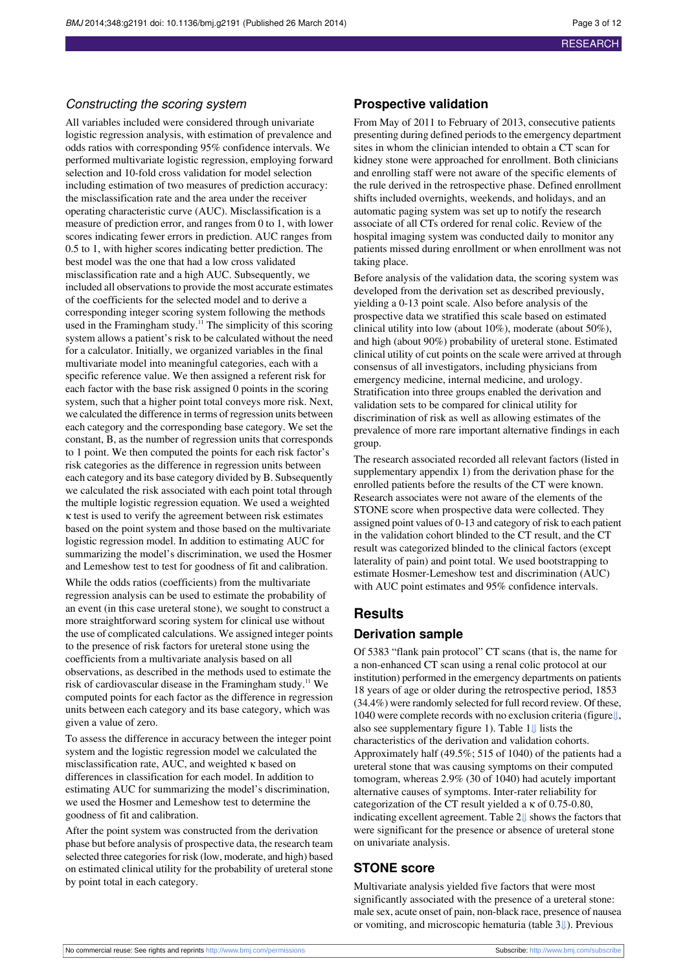#### Constructing the scoring system

All variables included were considered through univariate logistic regression analysis, with estimation of prevalence and odds ratios with corresponding 95% confidence intervals. We performed multivariate logistic regression, employing forward selection and 10-fold cross validation for model selection including estimation of two measures of prediction accuracy: the misclassification rate and the area under the receiver operating characteristic curve (AUC). Misclassification is a measure of prediction error, and ranges from 0 to 1, with lower scores indicating fewer errors in prediction. AUC ranges from 0.5 to 1, with higher scores indicating better prediction. The best model was the one that had a low cross validated misclassification rate and a high AUC. Subsequently, we included all observations to provide the most accurate estimates of the coefficients for the selected model and to derive a corresponding integer scoring system following the methods used in the Framingham study.<sup>11</sup> The simplicity of this scoring system allows a patient's risk to be calculated without the need for a calculator. Initially, we organized variables in the final multivariate model into meaningful categories, each with a specific reference value. We then assigned a referent risk for each factor with the base risk assigned 0 points in the scoring system, such that a higher point total conveys more risk. Next, we calculated the difference in terms of regression units between each category and the corresponding base category. We set the constant, B, as the number of regression units that corresponds to 1 point. We then computed the points for each risk factor's risk categories as the difference in regression units between each category and its base category divided by B. Subsequently we calculated the risk associated with each point total through the multiple logistic regression equation. We used a weighted κ test is used to verify the agreement between risk estimates based on the point system and those based on the multivariate logistic regression model. In addition to estimating AUC for summarizing the model's discrimination, we used the Hosmer and Lemeshow test to test for goodness of fit and calibration.

While the odds ratios (coefficients) from the multivariate regression analysis can be used to estimate the probability of an event (in this case ureteral stone), we sought to construct a more straightforward scoring system for clinical use without the use of complicated calculations. We assigned integer points to the presence of risk factors for ureteral stone using the coefficients from a multivariate analysis based on all observations, as described in the methods used to estimate the risk of cardiovascular disease in the Framingham study.<sup>11</sup> We computed points for each factor as the difference in regression units between each category and its base category, which was given a value of zero.

To assess the difference in accuracy between the integer point system and the logistic regression model we calculated the misclassification rate, AUC, and weighted κ based on differences in classification for each model. In addition to estimating AUC for summarizing the model's discrimination, we used the Hosmer and Lemeshow test to determine the goodness of fit and calibration.

After the point system was constructed from the derivation phase but before analysis of prospective data, the research team selected three categories for risk (low, moderate, and high) based on estimated clinical utility for the probability of ureteral stone by point total in each category.

#### **Prospective validation**

From May of 2011 to February of 2013, consecutive patients presenting during defined periods to the emergency department sites in whom the clinician intended to obtain a CT scan for kidney stone were approached for enrollment. Both clinicians and enrolling staff were not aware of the specific elements of the rule derived in the retrospective phase. Defined enrollment shifts included overnights, weekends, and holidays, and an automatic paging system was set up to notify the research associate of all CTs ordered for renal colic. Review of the hospital imaging system was conducted daily to monitor any patients missed during enrollment or when enrollment was not taking place.

Before analysis of the validation data, the scoring system was developed from the derivation set as described previously, yielding a 0-13 point scale. Also before analysis of the prospective data we stratified this scale based on estimated clinical utility into low (about 10%), moderate (about 50%), and high (about 90%) probability of ureteral stone. Estimated clinical utility of cut points on the scale were arrived at through consensus of all investigators, including physicians from emergency medicine, internal medicine, and urology. Stratification into three groups enabled the derivation and validation sets to be compared for clinical utility for discrimination of risk as well as allowing estimates of the prevalence of more rare important alternative findings in each group.

The research associated recorded all relevant factors (listed in supplementary appendix 1) from the derivation phase for the enrolled patients before the results of the CT were known. Research associates were not aware of the elements of the STONE score when prospective data were collected. They assigned point values of 0-13 and category of risk to each patient in the validation cohort blinded to the CT result, and the CT result was categorized blinded to the clinical factors (except laterality of pain) and point total. We used bootstrapping to estimate Hosmer-Lemeshow test and discrimination (AUC) with AUC point estimates and 95% confidence intervals.

## **Results**

#### **Derivation sample**

Of 5383 "flank pain protocol" CT scans (that is, the name for a non-enhanced CT scan using a renal colic protocol at our institution) performed in the emergency departments on patients 18 years of age or older during the retrospective period, 1853 (34.4%) were randomly selected for full record review. Of these, 1040 were complete records with no exclusion criteria (figur[e⇓](#page-11-0), also see supplementary figure 1). Table [1⇓](#page-7-0) lists the characteristics of the derivation and validation cohorts. Approximately half (49.5%; 515 of 1040) of the patients had a ureteral stone that was causing symptoms on their computed tomogram, whereas 2.9% (30 of 1040) had acutely important alternative causes of symptoms. Inter-rater reliability for categorization of the CT result yielded a κ of 0.75-0.80, indicating excellent agreement. Table 2[⇓](#page-8-0) shows the factors that were significant for the presence or absence of ureteral stone on univariate analysis.

## **STONE score**

Multivariate analysis yielded five factors that were most significantly associated with the presence of a ureteral stone: male sex, acute onset of pain, non-black race, presence of nausea or vomiting, and microscopic hematuria (table [3⇓](#page-9-0)). Previous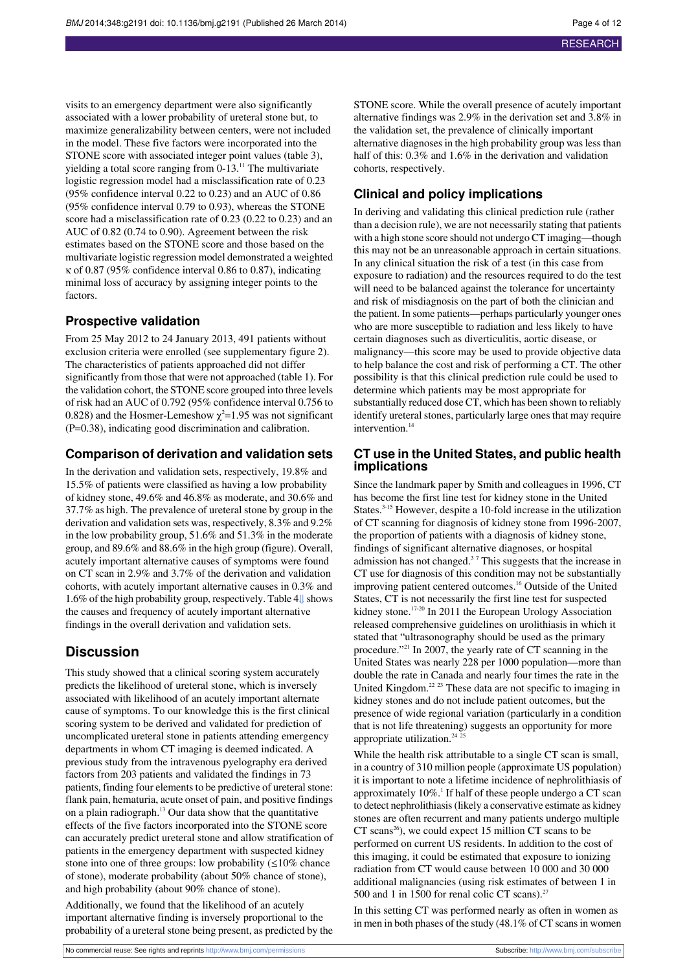visits to an emergency department were also significantly associated with a lower probability of ureteral stone but, to maximize generalizability between centers, were not included in the model. These five factors were incorporated into the STONE score with associated integer point values (table 3), yielding a total score ranging from 0-13.<sup>11</sup> The multivariate logistic regression model had a misclassification rate of 0.23 (95% confidence interval 0.22 to 0.23) and an AUC of 0.86 (95% confidence interval 0.79 to 0.93), whereas the STONE score had a misclassification rate of 0.23 (0.22 to 0.23) and an AUC of 0.82 (0.74 to 0.90). Agreement between the risk estimates based on the STONE score and those based on the multivariate logistic regression model demonstrated a weighted κ of 0.87 (95% confidence interval 0.86 to 0.87), indicating minimal loss of accuracy by assigning integer points to the factors.

### **Prospective validation**

From 25 May 2012 to 24 January 2013, 491 patients without exclusion criteria were enrolled (see supplementary figure 2). The characteristics of patients approached did not differ significantly from those that were not approached (table 1). For the validation cohort, the STONE score grouped into three levels of risk had an AUC of 0.792 (95% confidence interval 0.756 to 0.828) and the Hosmer-Lemeshow  $\chi^2$ =1.95 was not significant (P=0.38), indicating good discrimination and calibration.

#### **Comparison of derivation and validation sets**

In the derivation and validation sets, respectively, 19.8% and 15.5% of patients were classified as having a low probability of kidney stone, 49.6% and 46.8% as moderate, and 30.6% and 37.7% as high. The prevalence of ureteral stone by group in the derivation and validation sets was, respectively, 8.3% and 9.2% in the low probability group, 51.6% and 51.3% in the moderate group, and 89.6% and 88.6% in the high group (figure). Overall, acutely important alternative causes of symptoms were found on CT scan in 2.9% and 3.7% of the derivation and validation cohorts, with acutely important alternative causes in 0.3% and 1.6% of the high probability group, respectively. Table [4⇓](#page-10-0) shows the causes and frequency of acutely important alternative findings in the overall derivation and validation sets.

## **Discussion**

This study showed that a clinical scoring system accurately predicts the likelihood of ureteral stone, which is inversely associated with likelihood of an acutely important alternate cause of symptoms. To our knowledge this is the first clinical scoring system to be derived and validated for prediction of uncomplicated ureteral stone in patients attending emergency departments in whom CT imaging is deemed indicated. A previous study from the intravenous pyelography era derived factors from 203 patients and validated the findings in 73 patients, finding four elements to be predictive of ureteral stone: flank pain, hematuria, acute onset of pain, and positive findings on a plain radiograph.<sup>13</sup> Our data show that the quantitative effects of the five factors incorporated into the STONE score can accurately predict ureteral stone and allow stratification of patients in the emergency department with suspected kidney stone into one of three groups: low probability  $( \leq 10\%$  chance of stone), moderate probability (about 50% chance of stone), and high probability (about 90% chance of stone).

Additionally, we found that the likelihood of an acutely important alternative finding is inversely proportional to the probability of a ureteral stone being present, as predicted by the STONE score. While the overall presence of acutely important alternative findings was 2.9% in the derivation set and 3.8% in the validation set, the prevalence of clinically important alternative diagnoses in the high probability group was less than half of this:  $0.3\%$  and  $1.6\%$  in the derivation and validation cohorts, respectively.

## **Clinical and policy implications**

In deriving and validating this clinical prediction rule (rather than a decision rule), we are not necessarily stating that patients with a high stone score should not undergo CT imaging—though this may not be an unreasonable approach in certain situations. In any clinical situation the risk of a test (in this case from exposure to radiation) and the resources required to do the test will need to be balanced against the tolerance for uncertainty and risk of misdiagnosis on the part of both the clinician and the patient. In some patients—perhaps particularly younger ones who are more susceptible to radiation and less likely to have certain diagnoses such as diverticulitis, aortic disease, or malignancy—this score may be used to provide objective data to help balance the cost and risk of performing a CT. The other possibility is that this clinical prediction rule could be used to determine which patients may be most appropriate for substantially reduced dose CT, which has been shown to reliably identify ureteral stones, particularly large ones that may require intervention.<sup>14</sup>

#### **CT use in the United States, and public health implications**

Since the landmark paper by Smith and colleagues in 1996, CT has become the first line test for kidney stone in the United States.<sup>3-15</sup> However, despite a 10-fold increase in the utilization of CT scanning for diagnosis of kidney stone from 1996-2007, the proportion of patients with a diagnosis of kidney stone, findings of significant alternative diagnoses, or hospital admission has not changed.<sup>3</sup> <sup>7</sup> This suggests that the increase in CT use for diagnosis of this condition may not be substantially improving patient centered outcomes.<sup>16</sup> Outside of the United States, CT is not necessarily the first line test for suspected kidney stone.<sup>17-20</sup> In 2011 the European Urology Association released comprehensive guidelines on urolithiasis in which it stated that "ultrasonography should be used as the primary procedure."<sup>21</sup> In 2007, the yearly rate of CT scanning in the United States was nearly 228 per 1000 population—more than double the rate in Canada and nearly four times the rate in the United Kingdom.<sup>22</sup><sup>23</sup> These data are not specific to imaging in kidney stones and do not include patient outcomes, but the presence of wide regional variation (particularly in a condition that is not life threatening) suggests an opportunity for more appropriate utilization.<sup>24</sup>

While the health risk attributable to a single CT scan is small, in a country of 310 million people (approximate US population) it is important to note a lifetime incidence of nephrolithiasis of approximately  $10\%$ .<sup>1</sup> If half of these people undergo a CT scan to detect nephrolithiasis(likely a conservative estimate as kidney stones are often recurrent and many patients undergo multiple  $CT$  scans<sup>26</sup>), we could expect 15 million CT scans to be performed on current US residents. In addition to the cost of this imaging, it could be estimated that exposure to ionizing radiation from CT would cause between 10 000 and 30 000 additional malignancies (using risk estimates of between 1 in 500 and 1 in 1500 for renal colic CT scans).<sup>2</sup>

In this setting CT was performed nearly as often in women as in men in both phases of the study  $(48.1\% \text{ of CT} )$  scans in women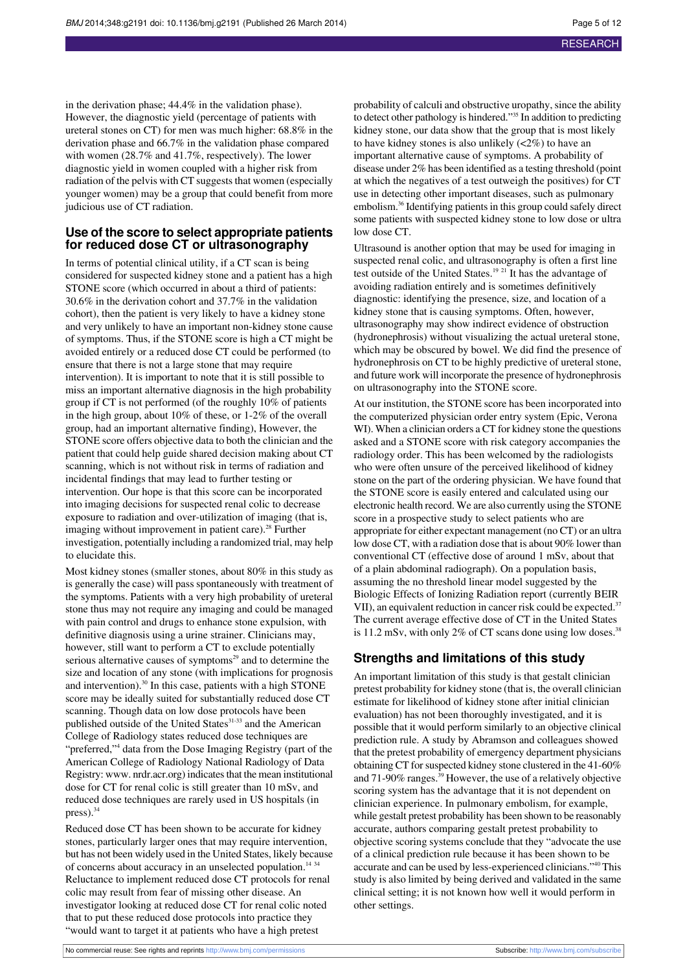in the derivation phase; 44.4% in the validation phase). However, the diagnostic yield (percentage of patients with ureteral stones on CT) for men was much higher: 68.8% in the derivation phase and 66.7% in the validation phase compared with women (28.7% and 41.7%, respectively). The lower diagnostic yield in women coupled with a higher risk from radiation of the pelvis with CT suggests that women (especially younger women) may be a group that could benefit from more judicious use of CT radiation.

### **Use of the score to select appropriate patients for reduced dose CT or ultrasonography**

In terms of potential clinical utility, if a CT scan is being considered for suspected kidney stone and a patient has a high STONE score (which occurred in about a third of patients: 30.6% in the derivation cohort and 37.7% in the validation cohort), then the patient is very likely to have a kidney stone and very unlikely to have an important non-kidney stone cause of symptoms. Thus, if the STONE score is high a CT might be avoided entirely or a reduced dose CT could be performed (to ensure that there is not a large stone that may require intervention). It is important to note that it is still possible to miss an important alternative diagnosis in the high probability group if CT is not performed (of the roughly 10% of patients in the high group, about 10% of these, or 1-2% of the overall group, had an important alternative finding), However, the STONE score offers objective data to both the clinician and the patient that could help guide shared decision making about CT scanning, which is not without risk in terms of radiation and incidental findings that may lead to further testing or intervention. Our hope is that this score can be incorporated into imaging decisions for suspected renal colic to decrease exposure to radiation and over-utilization of imaging (that is, imaging without improvement in patient care).<sup>28</sup> Further investigation, potentially including a randomized trial, may help to elucidate this.

Most kidney stones (smaller stones, about 80% in this study as is generally the case) will pass spontaneously with treatment of the symptoms. Patients with a very high probability of ureteral stone thus may not require any imaging and could be managed with pain control and drugs to enhance stone expulsion, with definitive diagnosis using a urine strainer. Clinicians may, however, still want to perform a CT to exclude potentially serious alternative causes of symptoms<sup>29</sup> and to determine the size and location of any stone (with implications for prognosis and intervention).<sup>30</sup> In this case, patients with a high STONE score may be ideally suited for substantially reduced dose CT scanning. Though data on low dose protocols have been published outside of the United States<sup>31-33</sup> and the American College of Radiology states reduced dose techniques are "preferred,"<sup>4</sup> data from the Dose Imaging Registry (part of the American College of Radiology National Radiology of Data Registry: [www](http://www/). nrdr.acr.org) indicates that the mean institutional dose for CT for renal colic is still greater than 10 mSv, and reduced dose techniques are rarely used in US hospitals (in  $press$ ).<sup>34</sup>

Reduced dose CT has been shown to be accurate for kidney stones, particularly larger ones that may require intervention, but has not been widely used in the United States, likely because of concerns about accuracy in an unselected population.<sup>14 34</sup> Reluctance to implement reduced dose CT protocols for renal colic may result from fear of missing other disease. An investigator looking at reduced dose CT for renal colic noted that to put these reduced dose protocols into practice they "would want to target it at patients who have a high pretest

probability of calculi and obstructive uropathy, since the ability to detect other pathology is hindered."<sup>35</sup> In addition to predicting kidney stone, our data show that the group that is most likely to have kidney stones is also unlikely (<2%) to have an important alternative cause of symptoms. A probability of disease under 2% has been identified as a testing threshold (point at which the negatives of a test outweigh the positives) for CT use in detecting other important diseases, such as pulmonary embolism.<sup>36</sup> Identifying patients in this group could safely direct some patients with suspected kidney stone to low dose or ultra low dose CT.

Ultrasound is another option that may be used for imaging in suspected renal colic, and ultrasonography is often a first line test outside of the United States.<sup>19</sup> <sup>21</sup> It has the advantage of avoiding radiation entirely and is sometimes definitively diagnostic: identifying the presence, size, and location of a kidney stone that is causing symptoms. Often, however, ultrasonography may show indirect evidence of obstruction (hydronephrosis) without visualizing the actual ureteral stone, which may be obscured by bowel. We did find the presence of hydronephrosis on CT to be highly predictive of ureteral stone, and future work will incorporate the presence of hydronephrosis on ultrasonography into the STONE score.

At our institution, the STONE score has been incorporated into the computerized physician order entry system (Epic, Verona WI). When a clinician orders a CT for kidney stone the questions asked and a STONE score with risk category accompanies the radiology order. This has been welcomed by the radiologists who were often unsure of the perceived likelihood of kidney stone on the part of the ordering physician. We have found that the STONE score is easily entered and calculated using our electronic health record. We are also currently using the STONE score in a prospective study to select patients who are appropriate for either expectant management (no CT) or an ultra low dose CT, with a radiation dose that is about 90% lower than conventional CT (effective dose of around 1 mSv, about that of a plain abdominal radiograph). On a population basis, assuming the no threshold linear model suggested by the Biologic Effects of Ionizing Radiation report (currently BEIR VII), an equivalent reduction in cancer risk could be expected.<sup>37</sup> The current average effective dose of CT in the United States is 11.2 mSv, with only 2% of CT scans done using low doses. $38$ 

## **Strengths and limitations of this study**

An important limitation of this study is that gestalt clinician pretest probability for kidney stone (that is, the overall clinician estimate for likelihood of kidney stone after initial clinician evaluation) has not been thoroughly investigated, and it is possible that it would perform similarly to an objective clinical prediction rule. A study by Abramson and colleagues showed that the pretest probability of emergency department physicians obtaining CT for suspected kidney stone clustered in the 41-60% and 71-90% ranges.<sup>39</sup> However, the use of a relatively objective scoring system has the advantage that it is not dependent on clinician experience. In pulmonary embolism, for example, while gestalt pretest probability has been shown to be reasonably accurate, authors comparing gestalt pretest probability to objective scoring systems conclude that they "advocate the use of a clinical prediction rule because it has been shown to be accurate and can be used by less-experienced clinicians."<sup>40</sup> This study is also limited by being derived and validated in the same clinical setting; it is not known how well it would perform in other settings.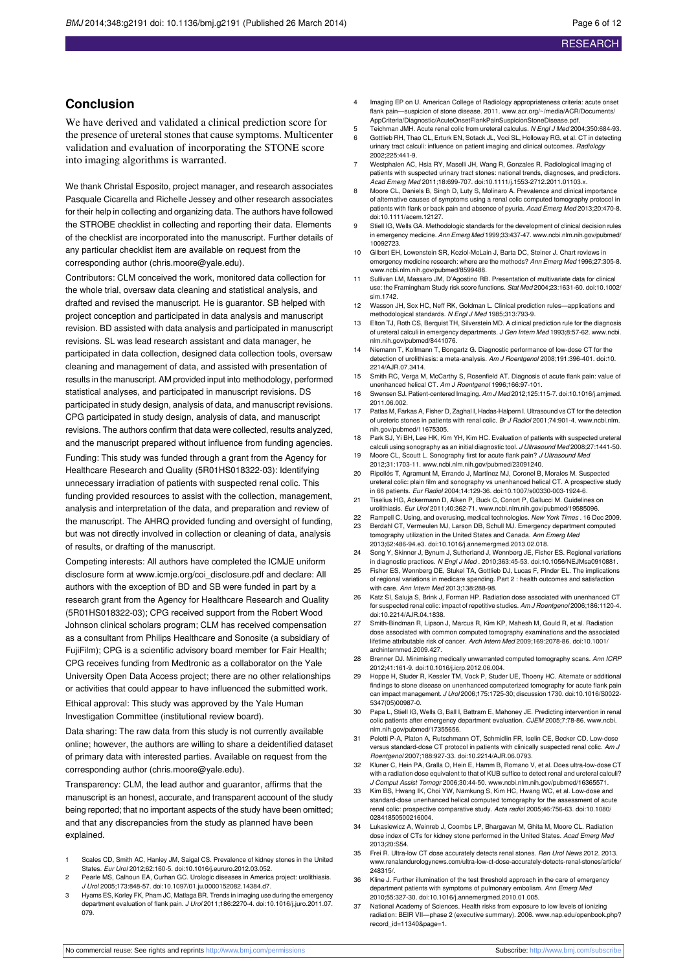## **Conclusion**

We have derived and validated a clinical prediction score for the presence of ureteral stones that cause symptoms. Multicenter validation and evaluation of incorporating the STONE score into imaging algorithms is warranted.

We thank Christal Esposito, project manager, and research associates Pasquale Cicarella and Richelle Jessey and other research associates for their help in collecting and organizing data. The authors have followed the STROBE checklist in collecting and reporting their data. Elements of the checklist are incorporated into the manuscript. Further details of any particular checklist item are available on request from the corresponding author (chris.moore@yale.edu).

Contributors: CLM conceived the work, monitored data collection for the whole trial, oversaw data cleaning and statistical analysis, and drafted and revised the manuscript. He is guarantor. SB helped with project conception and participated in data analysis and manuscript revision. BD assisted with data analysis and participated in manuscript revisions. SL was lead research assistant and data manager, he participated in data collection, designed data collection tools, oversaw cleaning and management of data, and assisted with presentation of results in the manuscript. AM provided input into methodology, performed statistical analyses, and participated in manuscript revisions. DS participated in study design, analysis of data, and manuscript revisions. CPG participated in study design, analysis of data, and manuscript revisions. The authors confirm that data were collected, results analyzed, and the manuscript prepared without influence from funding agencies.

Funding: This study was funded through a grant from the Agency for Healthcare Research and Quality (5R01HS018322-03): Identifying unnecessary irradiation of patients with suspected renal colic. This funding provided resources to assist with the collection, management, analysis and interpretation of the data, and preparation and review of the manuscript. The AHRQ provided funding and oversight of funding, but was not directly involved in collection or cleaning of data, analysis of results, or drafting of the manuscript.

Competing interests: All authors have completed the ICMJE uniform disclosure form at [www.icmje.org/coi\\_disclosure.pdf](http://www.icmje.org/coi_disclosure.pdf) and declare: All authors with the exception of BD and SB were funded in part by a research grant from the Agency for Healthcare Research and Quality (5R01HS018322-03); CPG received support from the Robert Wood Johnson clinical scholars program; CLM has received compensation as a consultant from Philips Healthcare and Sonosite (a subsidiary of FujiFilm); CPG is a scientific advisory board member for Fair Health; CPG receives funding from Medtronic as a collaborator on the Yale University Open Data Access project; there are no other relationships or activities that could appear to have influenced the submitted work.

Ethical approval: This study was approved by the Yale Human Investigation Committee (institutional review board).

Data sharing: The raw data from this study is not currently available online; however, the authors are willing to share a deidentified dataset of primary data with interested parties. Available on request from the corresponding author (chris.moore@yale.edu).

Transparency: CLM, the lead author and guarantor, affirms that the manuscript is an honest, accurate, and transparent account of the study being reported; that no important aspects of the study have been omitted; and that any discrepancies from the study as planned have been explained.

- 1 Scales CD, Smith AC, Hanley JM, Saigal CS. Prevalence of kidney stones in the United States. Eur Urol 2012;62:160-5. doi:[10.1016/j.eururo.2012.03.052](http://dx.doi.org/10.1016/j.eururo.2012.03.052).
- Pearle MS, Calhoun EA, Curhan GC. Urologic diseases in America project: urolithiasis. J Urol 2005;173:848-57. doi:[10.1097/01.ju.0000152082.14384.d7.](http://dx.doi.org/10.1097/01.ju.0000152082.14384.d7)
- 3 Hyams ES, Korley FK, Pham JC, Matlaga BR. Trends in imaging use during the emergency department evaluation of flank pain. J Urol 2011;186:2270-4. doi[:10.1016/j.juro.2011.07.](http://dx.doi.org/10.1016/j.juro.2011.07.079) [079](http://dx.doi.org/10.1016/j.juro.2011.07.079).
- 4 Imaging EP on U. American College of Radiology appropriateness criteria: acute onset flank pain—suspicion of stone disease. 2011. [www.acr.org/~/media/ACR/Documents/](http://www.acr.org/~/media/ACR/Documents/AppCriteria/Diagnostic/AcuteOnsetFlankPainSuspicionStoneDisease.pdf) [AppCriteria/Diagnostic/AcuteOnsetFlankPainSuspicionStoneDisease.pdf.](http://www.acr.org/~/media/ACR/Documents/AppCriteria/Diagnostic/AcuteOnsetFlankPainSuspicionStoneDisease.pdf)
- 5 Teichman JMH. Acute renal colic from ureteral calculus. N Engl J Med 2004;350:684-93. 6 Gottlieb RH, Thao CL, Erturk EN, Sotack JL, Voci SL, Holloway RG, et al. CT in detecting urinary tract calculi: influence on patient imaging and clinical outcomes. Radiology 2002;225:441-9.
- Westphalen AC, Hsia RY, Maselli JH, Wang R, Gonzales R. Radiological imaging of patients with suspected urinary tract stones: national trends, diagnoses, and predictors. Acad Emerg Med 2011;18:699-707. doi:[10.1111/j.1553-2712.2011.01103.x.](http://dx.doi.org/10.1111/j.1553-2712.2011.01103.x)
- 8 Moore CL, Daniels B, Singh D, Luty S, Molinaro A. Prevalence and clinical importance of alternative causes of symptoms using a renal colic computed tomography protocol in patients with flank or back pain and absence of pyuria. Acad Emerg Med 2013;20:470-8. doi:[10.1111/acem.12127.](http://dx.doi.org/10.1111/acem.12127)
- Stiell IG, Wells GA. Methodologic standards for the development of clinical decision rules in emergency medicine. Ann Emerg Med 1999;33:437-47. [www.ncbi.nlm.nih.gov/pubmed/](http://www.ncbi.nlm.nih.gov/pubmed/10092723) [10092723.](http://www.ncbi.nlm.nih.gov/pubmed/10092723)
- 10 Gilbert EH, Lowenstein SR, Koziol-McLain J, Barta DC, Steiner J. Chart reviews in emergency medicine research: where are the methods? Ann Emerg Med 1996;27:305-8. [www.ncbi.nlm.nih.gov/pubmed/8599488](http://www.ncbi.nlm.nih.gov/pubmed/8599488).
- 11 Sullivan LM, Massaro JM, D'Agostino RB. Presentation of multivariate data for clinical use: the Framingham Study risk score functions. Stat Med 2004;23:1631-60. doi:[10.1002/](http://dx.doi.org/10.1002/sim.1742) [sim.1742.](http://dx.doi.org/10.1002/sim.1742)
- 12 Wasson JH, Sox HC, Neff RK, Goldman L. Clinical prediction rules—applications and methodological standards. N Engl J Med 1985;313:793-9.
- 13 Elton TJ, Roth CS, Berquist TH, Silverstein MD. A clinical prediction rule for the diagnosis of ureteral calculi in emergency departments. J Gen Intern Med 1993;8:57-62. [www.ncbi.](http://www.ncbi.nlm.nih.gov/pubmed/8441076) [nlm.nih.gov/pubmed/8441076.](http://www.ncbi.nlm.nih.gov/pubmed/8441076)
- 14 Niemann T, Kollmann T, Bongartz G. Diagnostic performance of low-dose CT for the detection of urolithiasis: a meta-analysis. Am J Roentgenol 2008;191:396-401. doi[:10.](http://dx.doi.org/10.2214/AJR.07.3414) [2214/AJR.07.3414](http://dx.doi.org/10.2214/AJR.07.3414).
- 15 Smith RC, Verga M, McCarthy S, Rosenfield AT. Diagnosis of acute flank pain: value of unenhanced helical CT. Am J Roentgenol 1996;166:97-101.
- 16 Swensen SJ. Patient-centered Imaging. Am J Med 2012;125:115-7. doi[:10.1016/j.amjmed.](http://dx.doi.org/10.1016/j.amjmed.2011.06.002) [2011.06.002](http://dx.doi.org/10.1016/j.amjmed.2011.06.002).
- 17 Patlas M, Farkas A, Fisher D, Zaghal I, Hadas-Halpern I. Ultrasound vs CT for the detection of ureteric stones in patients with renal colic. Br J Radiol 2001;74:901-4. [www.ncbi.nlm.](http://www.ncbi.nlm.nih.gov/pubmed/11675305) [nih.gov/pubmed/11675305](http://www.ncbi.nlm.nih.gov/pubmed/11675305).
- 18 Park SJ, Yi BH, Lee HK, Kim YH, Kim HC. Evaluation of patients with suspected ureteral calculi using sonography as an initial diagnostic tool. J Ultrasound Med 2008;27:1441-50.
- 19 Moore CL, Scoutt L. Sonography first for acute flank pain? J Ultrasound Med 2012;31:1703-11. [www.ncbi.nlm.nih.gov/pubmed/23091240](http://www.ncbi.nlm.nih.gov/pubmed/23091240).
- 20 Ripollés T, Agramunt M, Errando J, Martínez MJ, Coronel B, Morales M. Suspected ureteral colic: plain film and sonography vs unenhanced helical CT. A prospective study in 66 patients. Eur Radiol 2004;14:129-36. doi:[10.1007/s00330-003-1924-6.](http://dx.doi.org/10.1007/s00330-003-1924-6)
- 21 Tiselius HG, Ackermann D, Alken P, Buck C, Conort P, Gallucci M. Guidelines on urolithiasis. Eur Urol 2011;40:362-71. [www.ncbi.nlm.nih.gov/pubmed/19585096](http://www.ncbi.nlm.nih.gov/pubmed/19585096).
- 22 Rampell C. Using, and overusing, medical technologies. New York Times . 16 Dec 2009. 23 Berdahl CT, Vermeulen MJ, Larson DB, Schull MJ. Emergency department computed
- tomography utilization in the United States and Canada. Ann Emerg Mea 2013;62:486-94.e3. doi[:10.1016/j.annemergmed.2013.02.018](http://dx.doi.org/10.1016/j.annemergmed.2013.02.018).
- 24 Song Y, Skinner J, Bynum J, Sutherland J, Wennberg JE, Fisher ES. Regional variations in diagnostic practices. N Engl J Med . 2010;363:45-53. doi[:10.1056/NEJMsa0910881](http://dx.doi.org/10.1056/NEJMsa0910881).
- 25 Fisher ES, Wennberg DE, Stukel TA, Gottlieb DJ, Lucas F, Pinder EL. The implications of regional variations in medicare spending. Part 2 : health outcomes and satisfaction with care. Ann Intern Med 2013;138:288-98.
- 26 Katz SI, Saluja S, Brink J, Forman HP. Radiation dose associated with unenhanced CT for suspected renal colic: impact of repetitive studies. Am J Roentgenol 2006;186:1120-4. doi:[10.2214/AJR.04.1838](http://dx.doi.org/10.2214/AJR.04.1838).
- 27 Smith-Bindman R, Lipson J, Marcus R, Kim KP, Mahesh M, Gould R, et al. Radiation dose associated with common computed tomography examinations and the associated lifetime attributable risk of cancer. Arch Intern Med 2009;169:2078-86. doi:[10.1001/](http://dx.doi.org/10.1001/archinternmed.2009.427) [archinternmed.2009.427.](http://dx.doi.org/10.1001/archinternmed.2009.427)
- 28 Brenner DJ. Minimising medically unwarranted computed tomography scans. Ann ICRP 2012;41:161-9. doi[:10.1016/j.icrp.2012.06.004.](http://dx.doi.org/10.1016/j.icrp.2012.06.004)
- 29 Hoppe H, Studer R, Kessler TM, Vock P, Studer UE, Thoeny HC. Alternate or additional findings to stone disease on unenhanced computerized tomography for acute flank pain can impact management. J Urol 2006;175:1725-30; discussion 1730. doi:[10.1016/S0022-](http://dx.doi.org/10.1016/S0022-5347(05)00987-0) [5347\(05\)00987-0.](http://dx.doi.org/10.1016/S0022-5347(05)00987-0)
- 30 Papa L, Stiell IG, Wells G, Ball I, Battram E, Mahoney JE. Predicting intervention in renal colic patients after emergency department evaluation. CJEM 2005:7:78-86. www.nchi. [nlm.nih.gov/pubmed/17355656](http://www.ncbi.nlm.nih.gov/pubmed/17355656).
- 31 Poletti P-A, Platon A, Rutschmann OT, Schmidlin FR, Iselin CE, Becker CD. Low-dose versus standard-dose CT protocol in patients with clinically suspected renal colic. Am J<br>Roentgenol 2007;188:927-33. doi:[10.2214/AJR.06.0793](http://dx.doi.org/10.2214/AJR.06.0793).
- 32 Kluner C, Hein PA, Gralla O, Hein E, Hamm B, Romano V, et al. Does ultra-low-dose CT with a radiation dose equivalent to that of KUB suffice to detect renal and ureteral calculi? J Comput Assist Tomogr 2006;30:44-50. [www.ncbi.nlm.nih.gov/pubmed/16365571](http://www.ncbi.nlm.nih.gov/pubmed/16365571).
- 33 Kim BS, Hwang IK, Choi YW, Namkung S, Kim HC, Hwang WC, et al. Low-dose and standard-dose unenhanced helical computed tomography for the assessment of acute renal colic: prospective comparative study. Acta radiol 2005;46:756-63. doi[:10.1080/](http://dx.doi.org/10.1080/02841850500216004) [02841850500216004.](http://dx.doi.org/10.1080/02841850500216004)
- 34 Lukasiewicz A, Weinreb J, Coombs LP, Bhargavan M, Ghita M, Moore CL. Radiation dose index of CTs for kidney stone performed in the United States. Acad Emerg Med 2013;20:S54.
- 35 Frei R. Ultra-low CT dose accurately detects renal stones. Ren Urol News 2012. 2013. [www.renalandurologynews.com/ultra-low-ct-dose-accurately-detects-renal-stones/article/](http://www.renalandurologynews.com/ultra-low-ct-dose-accurately-detects-renal-stones/article/248315/) [248315/](http://www.renalandurologynews.com/ultra-low-ct-dose-accurately-detects-renal-stones/article/248315/).
- 36 Kline J. Further illumination of the test threshold approach in the care of emergency department patients with symptoms of pulmonary embolism. Ann Emerg Med 2010;55:327-30. doi[:10.1016/j.annemergmed.2010.01.005](http://dx.doi.org/10.1016/j.annemergmed.2010.01.005).
- 37 National Academy of Sciences. Health risks from exposure to low levels of ionizing radiation: BEIR VII—phase 2 (executive summary). 2006. [www.nap.edu/openbook.php?](http://www.nap.edu/openbook.php?record_id=11340&page=1) [record\\_id=11340&page=1.](http://www.nap.edu/openbook.php?record_id=11340&page=1)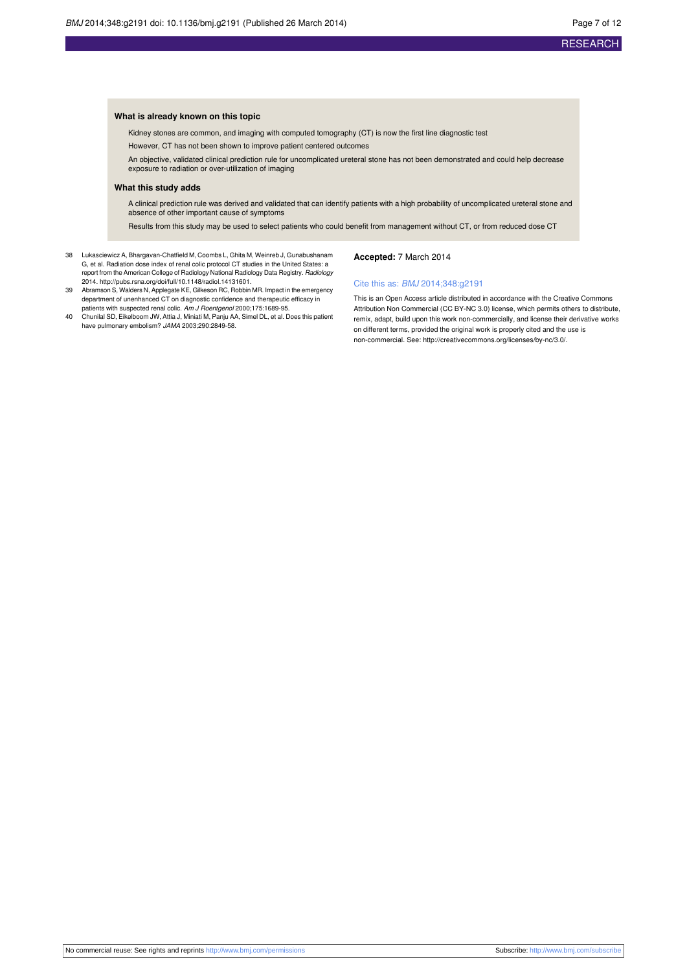#### **What is already known on this topic**

Kidney stones are common, and imaging with computed tomography (CT) is now the first line diagnostic test

However, CT has not been shown to improve patient centered outcomes

An objective, validated clinical prediction rule for uncomplicated ureteral stone has not been demonstrated and could help decrease exposure to radiation or over-utilization of imaging

#### **What this study adds**

A clinical prediction rule was derived and validated that can identify patients with a high probability of uncomplicated ureteral stone and absence of other important cause of symptoms

Results from this study may be used to select patients who could benefit from management without CT, or from reduced dose CT

- 38 Lukasciewicz A, Bhargavan-Chatfield M, Coombs L, Ghita M, Weinreb J, Gunabushanam G, et al. Radiation dose index of renal colic protocol CT studies in the United States: a report from the American College of Radiology National Radiology Data Registry. Radiology 2014. [http://pubs.rsna.org/doi/full/10.1148/radiol.14131601.](http://pubs.rsna.org/doi/full/10.1148/radiol.14131601)
- 39 Abramson S, Walders N, Applegate KE, Gilkeson RC, Robbin MR. Impact in the emergency department of unenhanced CT on diagnostic confidence and therapeutic efficacy in patients with suspected renal colic. Am J Roentgenol 2000;175:1689-95.
- 40 Chunilal SD, Eikelboom JW, Attia J, Miniati M, Panju AA, Simel DL, et al. Does this patient have pulmonary embolism? JAMA 2003;290:2849-58.

#### **Accepted:** 7 March 2014

#### Cite this as: BMJ 2014;348:g2191

This is an Open Access article distributed in accordance with the Creative Commons Attribution Non Commercial (CC BY-NC 3.0) license, which permits others to distribute, remix, adapt, build upon this work non-commercially, and license their derivative works on different terms, provided the original work is properly cited and the use is non-commercial. See: <http://creativecommons.org/licenses/by-nc/3.0/>.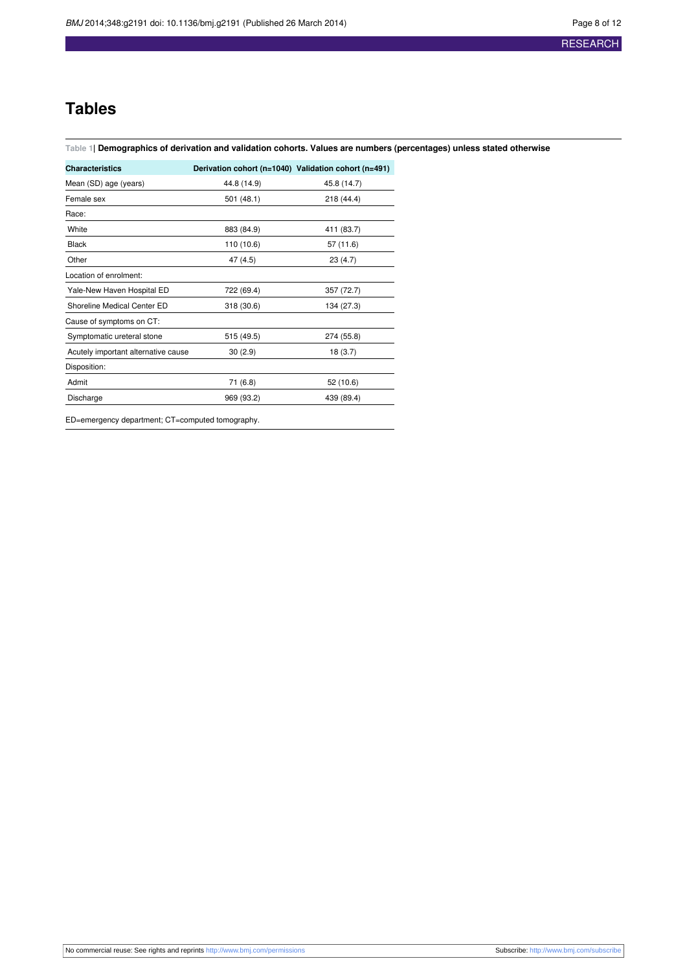## **Tables**

#### <span id="page-7-0"></span>Table 1| Demographics of derivation and validation cohorts. Values are numbers (percentages) unless stated otherwise

| <b>Characteristics</b>              | Derivation cohort (n=1040) Validation cohort (n=491) |             |
|-------------------------------------|------------------------------------------------------|-------------|
| Mean (SD) age (years)               | 44.8 (14.9)                                          | 45.8 (14.7) |
| Female sex                          | 501 (48.1)                                           | 218 (44.4)  |
| Race:                               |                                                      |             |
| White                               | 883 (84.9)                                           | 411 (83.7)  |
| <b>Black</b>                        | 110 (10.6)                                           | 57 (11.6)   |
| Other                               | 47 (4.5)                                             | 23(4.7)     |
| Location of enrolment:              |                                                      |             |
| Yale-New Haven Hospital ED          | 722 (69.4)                                           | 357 (72.7)  |
| Shoreline Medical Center ED         | 318 (30.6)                                           | 134 (27.3)  |
| Cause of symptoms on CT:            |                                                      |             |
| Symptomatic ureteral stone          | 515 (49.5)                                           | 274 (55.8)  |
| Acutely important alternative cause | 30(2.9)                                              | 18(3.7)     |
| Disposition:                        |                                                      |             |
| Admit                               | 71 (6.8)                                             | 52 (10.6)   |
| Discharge                           | 969 (93.2)                                           | 439 (89.4)  |

ED=emergency department; CT=computed tomography.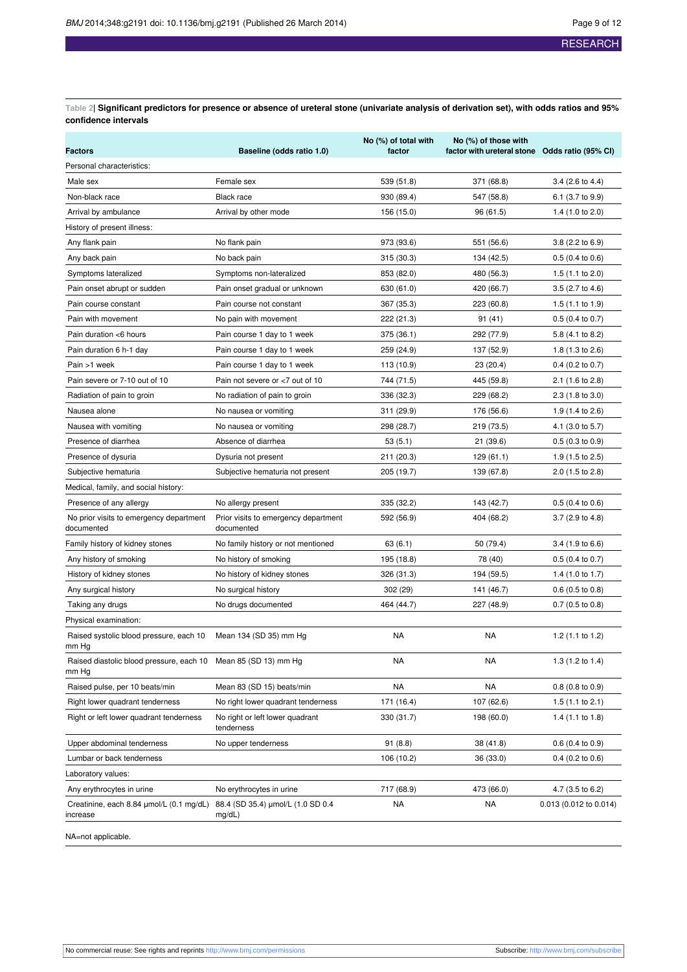<span id="page-8-0"></span>Table 2| Significant predictors for presence or absence of ureteral stone (univariate analysis of derivation set), with odds ratios and 95% **confidence intervals**

| <b>Factors</b>                                                          | Baseline (odds ratio 1.0)                          | No (%) of total with<br>factor | No (%) of those with<br>factor with ureteral stone Odds ratio (95% CI) |                             |
|-------------------------------------------------------------------------|----------------------------------------------------|--------------------------------|------------------------------------------------------------------------|-----------------------------|
| Personal characteristics:                                               |                                                    |                                |                                                                        |                             |
| Male sex                                                                | Female sex                                         | 539 (51.8)                     | 371 (68.8)                                                             | $3.4$ (2.6 to 4.4)          |
| Non-black race                                                          | Black race                                         | 930 (89.4)                     | 547 (58.8)                                                             | 6.1 (3.7 to 9.9)            |
| Arrival by ambulance                                                    | Arrival by other mode                              | 156 (15.0)                     | 96 (61.5)                                                              | 1.4 $(1.0 \text{ to } 2.0)$ |
| History of present illness:                                             |                                                    |                                |                                                                        |                             |
| Any flank pain                                                          | No flank pain                                      | 973 (93.6)                     | 551 (56.6)                                                             | $3.8(2.2 \text{ to } 6.9)$  |
| Any back pain                                                           | No back pain                                       | 315 (30.3)                     | 134 (42.5)                                                             | $0.5(0.4 \text{ to } 0.6)$  |
| Symptoms lateralized                                                    | Symptoms non-lateralized                           | 853 (82.0)                     | 480 (56.3)                                                             | 1.5 $(1.1 \text{ to } 2.0)$ |
| Pain onset abrupt or sudden                                             | Pain onset gradual or unknown                      | 630 (61.0)                     | 420 (66.7)                                                             | 3.5 (2.7 to 4.6)            |
| Pain course constant                                                    | Pain course not constant                           | 367 (35.3)                     | 223 (60.8)                                                             | $1.5(1.1 \text{ to } 1.9)$  |
| Pain with movement                                                      | No pain with movement                              | 222 (21.3)                     | 91(41)                                                                 | $0.5$ (0.4 to 0.7)          |
| Pain duration <6 hours                                                  | Pain course 1 day to 1 week                        | 375 (36.1)                     | 292 (77.9)                                                             | 5.8 (4.1 to 8.2)            |
| Pain duration 6 h-1 day                                                 | Pain course 1 day to 1 week                        | 259 (24.9)                     | 137 (52.9)                                                             | 1.8 $(1.3 \text{ to } 2.6)$ |
| Pain >1 week                                                            | Pain course 1 day to 1 week                        | 113 (10.9)                     | 23 (20.4)                                                              | $0.4$ (0.2 to 0.7)          |
| Pain severe or 7-10 out of 10                                           | Pain not severe or <7 out of 10                    | 744 (71.5)                     | 445 (59.8)                                                             | 2.1 (1.6 to 2.8)            |
| Radiation of pain to groin                                              | No radiation of pain to groin                      | 336 (32.3)                     | 229 (68.2)                                                             | 2.3 (1.8 to 3.0)            |
| Nausea alone                                                            | No nausea or vomiting                              | 311 (29.9)                     | 176 (56.6)                                                             | 1.9 (1.4 to 2.6)            |
| Nausea with vomiting                                                    | No nausea or vomiting                              | 298 (28.7)                     | 219 (73.5)                                                             | 4.1 (3.0 to 5.7)            |
| Presence of diarrhea                                                    | Absence of diarrhea                                | 53 (5.1)                       | 21(39.6)                                                               | $0.5(0.3 \text{ to } 0.9)$  |
| Presence of dysuria                                                     | Dysuria not present                                | 211 (20.3)                     | 129(61.1)                                                              | 1.9 $(1.5 \text{ to } 2.5)$ |
| Subjective hematuria                                                    | Subjective hematuria not present                   | 205 (19.7)                     | 139 (67.8)                                                             | 2.0 (1.5 to 2.8)            |
| Medical, family, and social history:                                    |                                                    |                                |                                                                        |                             |
| Presence of any allergy                                                 | No allergy present                                 | 335 (32.2)                     | 143 (42.7)                                                             | $0.5(0.4 \text{ to } 0.6)$  |
| No prior visits to emergency department<br>documented                   | Prior visits to emergency department<br>documented | 592 (56.9)                     | 404 (68.2)                                                             | $3.7(2.9 \text{ to } 4.8)$  |
| Family history of kidney stones                                         | No family history or not mentioned                 | 63 (6.1)                       | 50 (79.4)                                                              | 3.4 (1.9 to 6.6)            |
| Any history of smoking                                                  | No history of smoking                              | 195 (18.8)                     | 78 (40)                                                                | $0.5$ (0.4 to 0.7)          |
| History of kidney stones                                                | No history of kidney stones                        | 326 (31.3)                     | 194 (59.5)                                                             | 1.4 (1.0 to 1.7)            |
| Any surgical history                                                    | No surgical history                                | 302 (29)                       | 141 (46.7)                                                             | $0.6$ (0.5 to 0.8)          |
| Taking any drugs                                                        | No drugs documented                                | 464 (44.7)                     | 227 (48.9)                                                             | $0.7$ (0.5 to 0.8)          |
| Physical examination:                                                   |                                                    |                                |                                                                        |                             |
| Raised systolic blood pressure, each 10 Mean 134 (SD 35) mm Hg<br>mm Hg |                                                    | NA                             | NA                                                                     | 1.2 $(1.1$ to 1.2)          |
| Raised diastolic blood pressure, each 10 Mean 85 (SD 13) mm Hg<br>mm Hg |                                                    | NA                             | NA                                                                     | 1.3 (1.2 to 1.4)            |
| Raised pulse, per 10 beats/min                                          | Mean 83 (SD 15) beats/min                          | NA                             | <b>NA</b>                                                              | $0.8$ (0.8 to 0.9)          |
| Right lower quadrant tenderness                                         | No right lower quadrant tenderness                 | 171 (16.4)                     | 107 (62.6)                                                             | 1.5 $(1.1$ to 2.1)          |
| Right or left lower quadrant tenderness                                 | No right or left lower quadrant<br>tenderness      | 330 (31.7)                     | 198 (60.0)                                                             | 1.4 $(1.1$ to 1.8)          |
| Upper abdominal tenderness                                              | No upper tenderness                                | 91 (8.8)                       | 38 (41.8)                                                              | $0.6$ (0.4 to 0.9)          |
| Lumbar or back tenderness                                               |                                                    | 106 (10.2)                     | 36 (33.0)                                                              | $0.4$ (0.2 to 0.6)          |
| Laboratory values:                                                      |                                                    |                                |                                                                        |                             |
| Any erythrocytes in urine                                               | No erythrocytes in urine                           | 717 (68.9)                     | 473 (66.0)                                                             | 4.7 (3.5 to 6.2)            |
| Creatinine, each 8.84 umol/L (0.1 mg/dL)<br>increase                    | 88.4 (SD 35.4) µmol/L (1.0 SD 0.4<br>mg/dL)        | NA                             | NA                                                                     | 0.013 (0.012 to 0.014)      |
| NA=not applicable.                                                      |                                                    |                                |                                                                        |                             |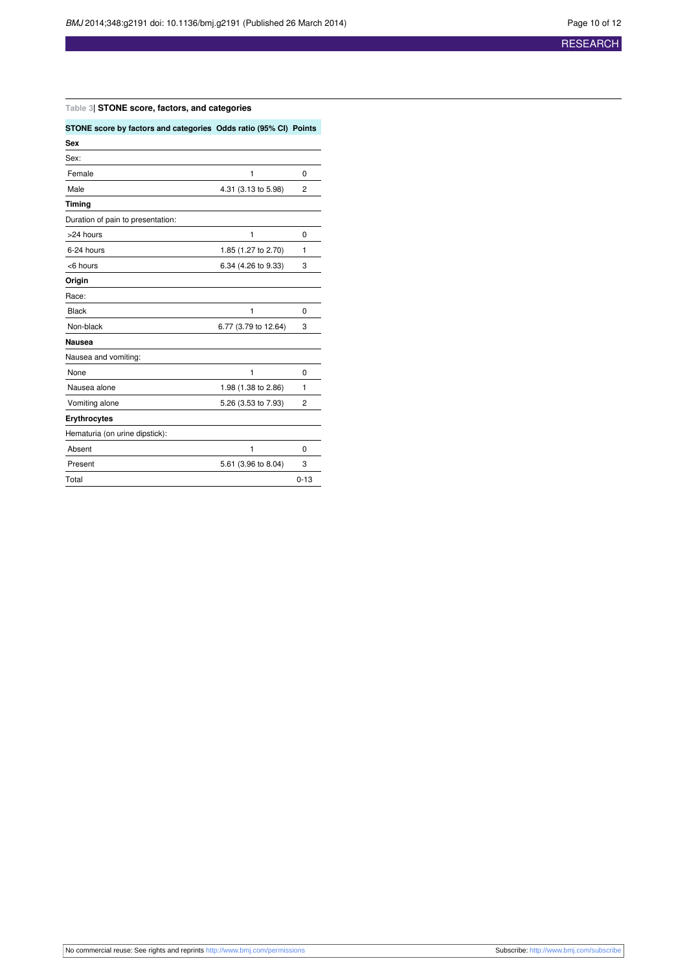#### <span id="page-9-0"></span>**Table 3| STONE score, factors, and categories**

| STONE score by factors and categories Odds ratio (95% CI) Points |                      |          |
|------------------------------------------------------------------|----------------------|----------|
| <b>Sex</b>                                                       |                      |          |
| Sex:                                                             |                      |          |
| Female                                                           | 1                    | 0        |
| Male                                                             | 4.31 (3.13 to 5.98)  | 2        |
| Timing                                                           |                      |          |
| Duration of pain to presentation:                                |                      |          |
| >24 hours                                                        | 1                    | 0        |
| 6-24 hours                                                       | 1.85 (1.27 to 2.70)  | 1        |
| <6 hours                                                         | 6.34 (4.26 to 9.33)  | 3        |
| Origin                                                           |                      |          |
| Race:                                                            |                      |          |
| <b>Black</b>                                                     | 1                    | 0        |
| Non-black                                                        | 6.77 (3.79 to 12.64) | 3        |
| <b>Nausea</b>                                                    |                      |          |
| Nausea and vomiting:                                             |                      |          |
| None                                                             | 1                    | 0        |
| Nausea alone                                                     | 1.98 (1.38 to 2.86)  | 1        |
| Vomiting alone                                                   | 5.26 (3.53 to 7.93)  | 2        |
| <b>Erythrocytes</b>                                              |                      |          |
| Hematuria (on urine dipstick):                                   |                      |          |
| Absent                                                           | 1                    | 0        |
| Present                                                          | 5.61 (3.96 to 8.04)  | 3        |
| Total                                                            |                      | $0 - 13$ |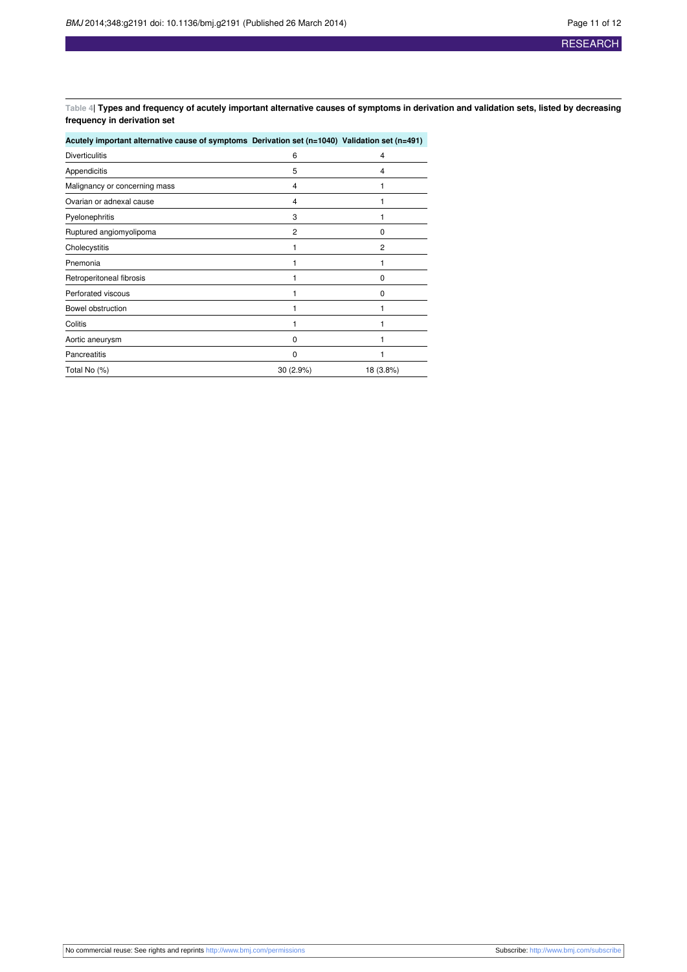<span id="page-10-0"></span>Table 4| Types and frequency of acutely important alternative causes of symptoms in derivation and validation sets, listed by decreasing **frequency in derivation set**

| Acutely important alternative cause of symptoms Derivation set (n=1040) Validation set (n=491) |          |                |
|------------------------------------------------------------------------------------------------|----------|----------------|
| <b>Diverticulitis</b>                                                                          | 6        | 4              |
| Appendicitis                                                                                   | 5        | 4              |
| Malignancy or concerning mass                                                                  | 4        |                |
| Ovarian or adnexal cause                                                                       | 4        |                |
| Pyelonephritis                                                                                 | 3        |                |
| Ruptured angiomyolipoma                                                                        | 2        | $\Omega$       |
| Cholecystitis                                                                                  |          | $\overline{2}$ |
| Pnemonia                                                                                       |          |                |
| Retroperitoneal fibrosis                                                                       |          | $\Omega$       |
| Perforated viscous                                                                             |          | $\Omega$       |
| Bowel obstruction                                                                              |          |                |
| Colitis                                                                                        |          |                |
| Aortic aneurysm                                                                                | 0        |                |
| <b>Pancreatitis</b>                                                                            | $\Omega$ |                |
| Total No (%)                                                                                   | 30(2.9%) | 18 (3.8%)      |